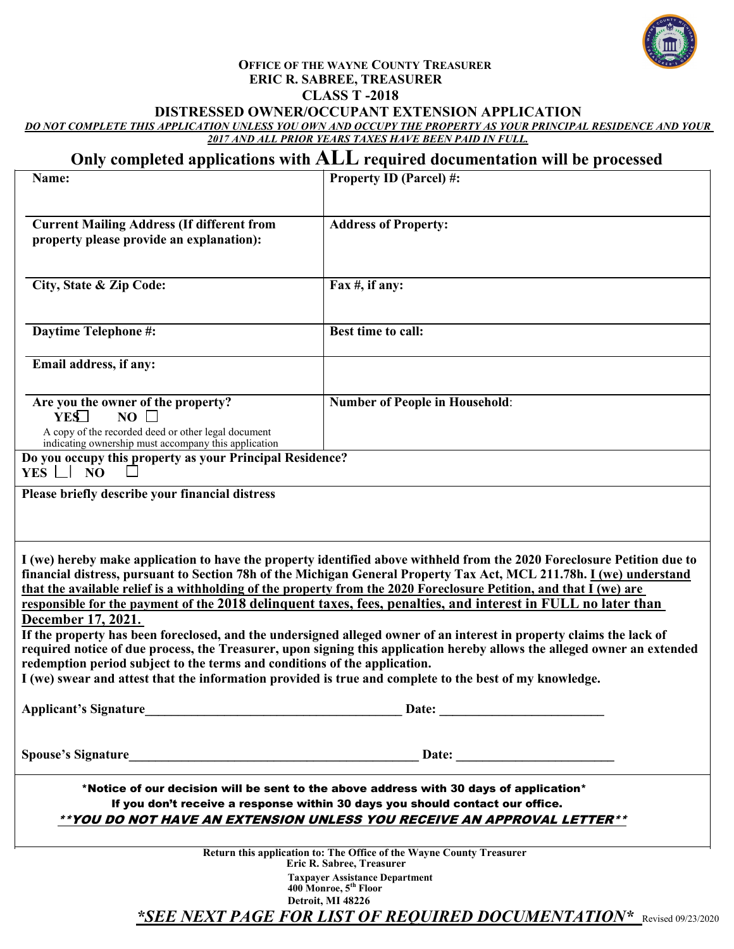

#### **OFFICE OF THE WAYNE COUNTY TREASURER ERIC R. SABREE, TREASURER CLASS T -2018 DISTRESSED OWNER/OCCUPANT EXTENSION APPLICATION**

*DO NOT COMPLETE THIS APPLICATION UNLESS YOU OWN AND OCCUPY THE PROPERTY AS YOUR PRINCIPAL RESIDENCE AND YOUR 2017 AND ALL PRIOR YEARS TAXES HAVE BEEN PAID IN FULL.*

# **Only completed applications with ALL required documentation will be processed**

| Name:                                                                                                       | <b>Property ID (Parcel) #:</b>                                                                                                                                                                                                                                                                                                                                        |  |
|-------------------------------------------------------------------------------------------------------------|-----------------------------------------------------------------------------------------------------------------------------------------------------------------------------------------------------------------------------------------------------------------------------------------------------------------------------------------------------------------------|--|
|                                                                                                             |                                                                                                                                                                                                                                                                                                                                                                       |  |
| <b>Current Mailing Address (If different from</b>                                                           | <b>Address of Property:</b>                                                                                                                                                                                                                                                                                                                                           |  |
| property please provide an explanation):                                                                    |                                                                                                                                                                                                                                                                                                                                                                       |  |
|                                                                                                             |                                                                                                                                                                                                                                                                                                                                                                       |  |
| City, State & Zip Code:                                                                                     | Fax $#$ , if any:                                                                                                                                                                                                                                                                                                                                                     |  |
|                                                                                                             |                                                                                                                                                                                                                                                                                                                                                                       |  |
| Daytime Telephone #:                                                                                        | Best time to call:                                                                                                                                                                                                                                                                                                                                                    |  |
| Email address, if any:                                                                                      |                                                                                                                                                                                                                                                                                                                                                                       |  |
| Are you the owner of the property?                                                                          | <b>Number of People in Household:</b>                                                                                                                                                                                                                                                                                                                                 |  |
| NO<br>YES                                                                                                   |                                                                                                                                                                                                                                                                                                                                                                       |  |
| A copy of the recorded deed or other legal document<br>indicating ownership must accompany this application |                                                                                                                                                                                                                                                                                                                                                                       |  |
| Do you occupy this property as your Principal Residence?<br>$YES$ $\Box$<br>N <sub>O</sub>                  |                                                                                                                                                                                                                                                                                                                                                                       |  |
| Please briefly describe your financial distress                                                             |                                                                                                                                                                                                                                                                                                                                                                       |  |
|                                                                                                             |                                                                                                                                                                                                                                                                                                                                                                       |  |
|                                                                                                             |                                                                                                                                                                                                                                                                                                                                                                       |  |
|                                                                                                             | I (we) hereby make application to have the property identified above withheld from the 2020 Foreclosure Petition due to<br>financial distress, pursuant to Section 78h of the Michigan General Property Tax Act, MCL 211.78h. I (we) understand<br>that the available relief is a withholding of the property from the 2020 Foreclosure Petition, and that I (we) are |  |
|                                                                                                             | responsible for the payment of the 2018 delinquent taxes, fees, penalties, and interest in FULL no later than                                                                                                                                                                                                                                                         |  |
| December 17, 2021.                                                                                          |                                                                                                                                                                                                                                                                                                                                                                       |  |
|                                                                                                             | If the property has been foreclosed, and the undersigned alleged owner of an interest in property claims the lack of                                                                                                                                                                                                                                                  |  |
|                                                                                                             | required notice of due process, the Treasurer, upon signing this application hereby allows the alleged owner an extended                                                                                                                                                                                                                                              |  |
| redemption period subject to the terms and conditions of the application.                                   | I (we) swear and attest that the information provided is true and complete to the best of my knowledge.                                                                                                                                                                                                                                                               |  |
|                                                                                                             |                                                                                                                                                                                                                                                                                                                                                                       |  |
| <b>Applicant's Signature</b>                                                                                | Date:                                                                                                                                                                                                                                                                                                                                                                 |  |
| <b>Spouse's Signature</b>                                                                                   | Date: the contract of the contract of the contract of the contract of the contract of the contract of the contract of the contract of the contract of the contract of the contract of the contract of the contract of the cont                                                                                                                                        |  |
|                                                                                                             | *Notice of our decision will be sent to the above address with 30 days of application*                                                                                                                                                                                                                                                                                |  |
|                                                                                                             | If you don't receive a response within 30 days you should contact our office.                                                                                                                                                                                                                                                                                         |  |
|                                                                                                             | **YOU DO NOT HAVE AN EXTENSION UNLESS YOU RECEIVE AN APPROVAL LETTER**                                                                                                                                                                                                                                                                                                |  |
|                                                                                                             | Return this application to: The Office of the Wayne County Treasurer                                                                                                                                                                                                                                                                                                  |  |
| Eric R. Sabree, Treasurer                                                                                   |                                                                                                                                                                                                                                                                                                                                                                       |  |
| <b>Taxpayer Assistance Department</b><br>400 Monroe, 5 <sup>th</sup> Floor                                  |                                                                                                                                                                                                                                                                                                                                                                       |  |
|                                                                                                             | Detroit, MI 48226                                                                                                                                                                                                                                                                                                                                                     |  |
|                                                                                                             | *SEE NEXT PAGE FOR LIST OF REQUIRED DOCUMENTATION* Revised 09/23/2020                                                                                                                                                                                                                                                                                                 |  |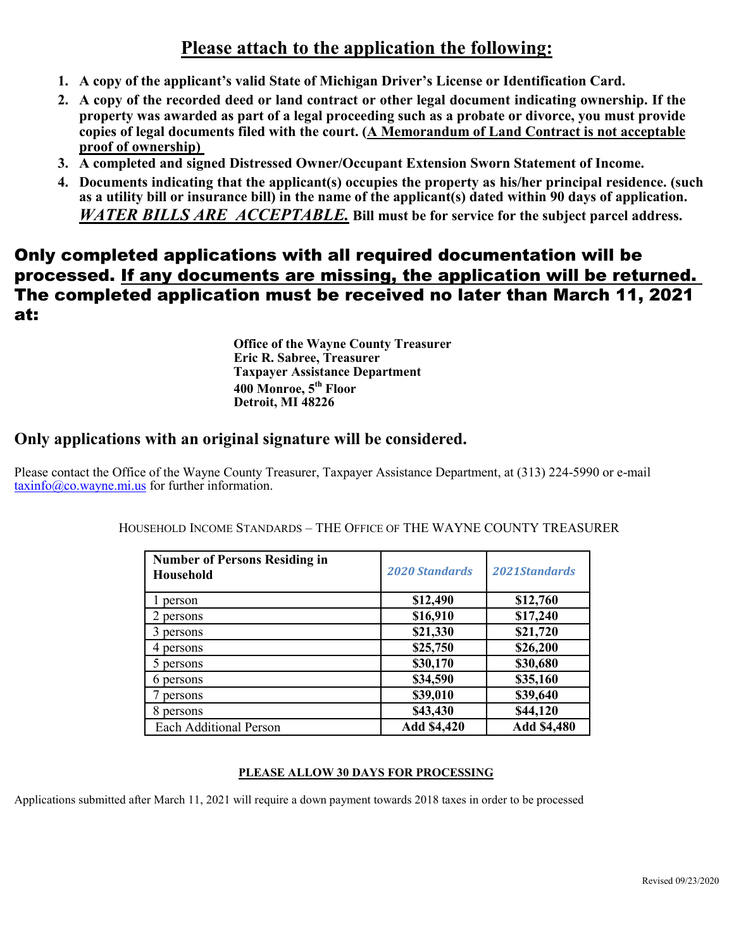# **Please attach to the application the following:**

- **1. A copy of the applicant's valid State of Michigan Driver's License or Identification Card.**
- **2. A copy of the recorded deed or land contract or other legal document indicating ownership. If the property was awarded as part of a legal proceeding such as a probate or divorce, you must provide copies of legal documents filed with the court. (A Memorandum of Land Contract is not acceptable proof of ownership)**
- **3. A completed and signed Distressed Owner/Occupant Extension Sworn Statement of Income.**
- **4. Documents indicating that the applicant(s) occupies the property as his/her principal residence. (such as a utility bill or insurance bill) in the name of the applicant(s) dated within 90 days of application.**  *WATER BILLS ARE ACCEPTABLE.* **Bill must be for service for the subject parcel address.**

# Only completed applications with all required documentation will be processed. If any documents are missing, the application will be returned. The completed application must be received no later than March 11, 2021 at:

**Office of the Wayne County Treasurer Eric R. Sabree, Treasurer Taxpayer Assistance Department 400 Monroe, 5th Floor Detroit, MI 48226**

### **Only applications with an original signature will be considered.**

Please contact the Office of the Wayne County Treasurer, Taxpayer Assistance Department, at (313) 224-5990 or e-mail [taxinfo@co.wayne.mi.us](mailto:taxinfo@co.wayne.mi.us) for further information.

| <b>Number of Persons Residing in</b><br>Household | <b>2020 Standards</b> | 2021Standards |
|---------------------------------------------------|-----------------------|---------------|
| person                                            | \$12,490              | \$12,760      |
| persons                                           | \$16,910              | \$17,240      |
| persons                                           | \$21,330              | \$21,720      |
| persons                                           | \$25,750              | \$26,200      |
| persons                                           | \$30,170              | \$30,680      |
| 6 persons                                         | \$34,590              | \$35,160      |
| persons                                           | \$39,010              | \$39,640      |
| 8 persons                                         | \$43,430              | \$44,120      |
| <b>Each Additional Person</b>                     | Add \$4,420           | Add \$4,480   |

HOUSEHOLD INCOME STANDARDS – THE OFFICE OF THE WAYNE COUNTY TREASURER

#### **PLEASE ALLOW 30 DAYS FOR PROCESSING**

Applications submitted after March 11, 2021 will require a down payment towards 2018 taxes in order to be processed